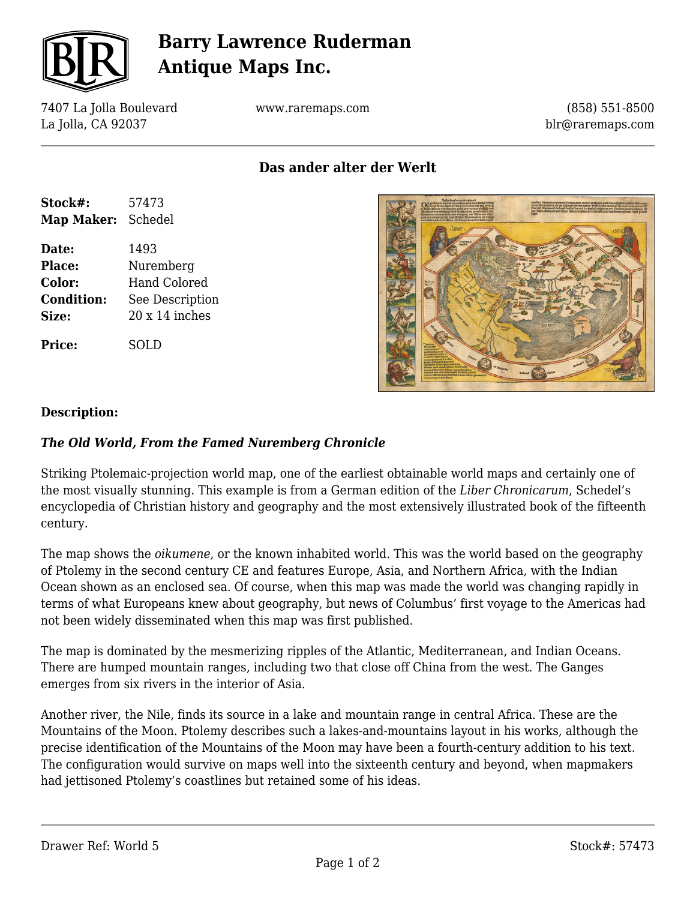

# **Barry Lawrence Ruderman Antique Maps Inc.**

7407 La Jolla Boulevard La Jolla, CA 92037

www.raremaps.com

(858) 551-8500 blr@raremaps.com

**Das ander alter der Werlt**

| Stock#:           | 57473                 |
|-------------------|-----------------------|
| <b>Map Maker:</b> | Schedel               |
| Date:             | 1493                  |
| <b>Place:</b>     | Nuremberg             |
| Color:            | <b>Hand Colored</b>   |
| <b>Condition:</b> | See Description       |
| Size:             | $20 \times 14$ inches |
| <b>Price:</b>     | SOL D                 |



### **Description:**

#### *The Old World, From the Famed Nuremberg Chronicle*

Striking Ptolemaic-projection world map, one of the earliest obtainable world maps and certainly one of the most visually stunning. This example is from a German edition of the *Liber Chronicarum*, Schedel's encyclopedia of Christian history and geography and the most extensively illustrated book of the fifteenth century.

The map shows the *oikumene*, or the known inhabited world. This was the world based on the geography of Ptolemy in the second century CE and features Europe, Asia, and Northern Africa, with the Indian Ocean shown as an enclosed sea. Of course, when this map was made the world was changing rapidly in terms of what Europeans knew about geography, but news of Columbus' first voyage to the Americas had not been widely disseminated when this map was first published.

The map is dominated by the mesmerizing ripples of the Atlantic, Mediterranean, and Indian Oceans. There are humped mountain ranges, including two that close off China from the west. The Ganges emerges from six rivers in the interior of Asia.

Another river, the Nile, finds its source in a lake and mountain range in central Africa. These are the Mountains of the Moon. Ptolemy describes such a lakes-and-mountains layout in his works, although the precise identification of the Mountains of the Moon may have been a fourth-century addition to his text. The configuration would survive on maps well into the sixteenth century and beyond, when mapmakers had jettisoned Ptolemy's coastlines but retained some of his ideas.